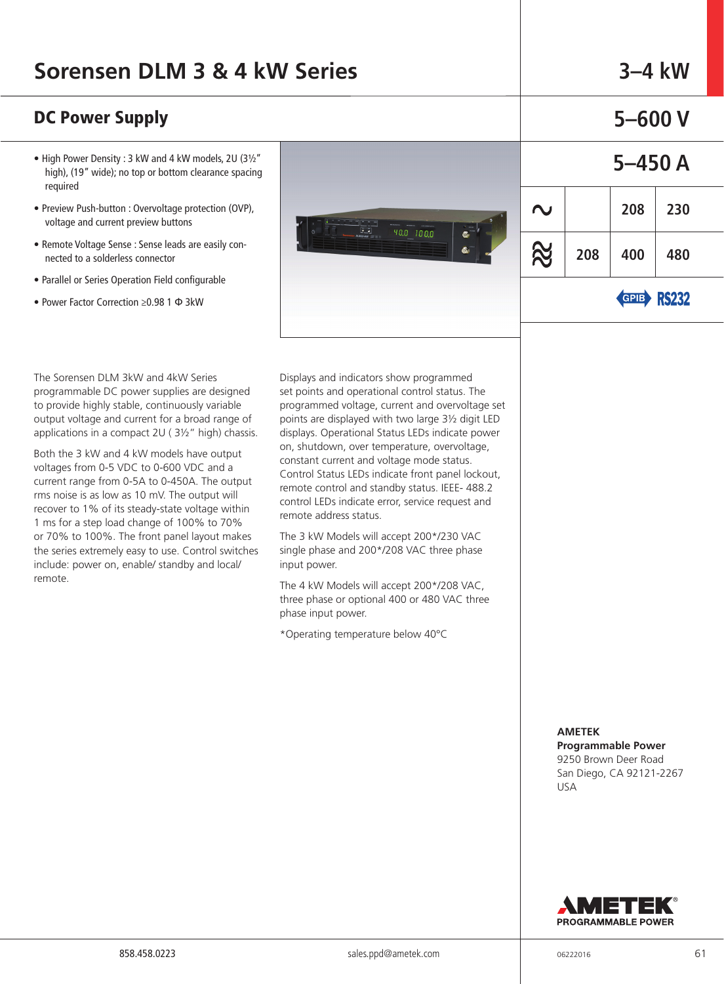### **DC Power Supply 65–600 V 5–600 V**

- High Power Density : 3 kW and 4 kW models, 2U (3½" high), (19" wide); no top or bottom clearance spacing required
- Preview Push-button : Overvoltage protection (OVP), voltage and current preview buttons
- Remote Voltage Sense : Sense leads are easily connected to a solderless connector
- Parallel or Series Operation Field configurable
- Power Factor Correction ≥0.98 1 Ф 3kW



|         | ע טטס–כ |                     |     |  |  |  |  |  |  |
|---------|---------|---------------------|-----|--|--|--|--|--|--|
| 5-450 A |         |                     |     |  |  |  |  |  |  |
| J       |         | 208                 | 230 |  |  |  |  |  |  |
|         | 208     | 400                 | 480 |  |  |  |  |  |  |
|         |         | $\blacksquare$<br>ь |     |  |  |  |  |  |  |

GPIB RYXY

The Sorensen DLM 3kW and 4kW Series programmable DC power supplies are designed to provide highly stable, continuously variable output voltage and current for a broad range of applications in a compact 2U ( 3½" high) chassis.

Both the 3 kW and 4 kW models have output voltages from 0-5 VDC to 0-600 VDC and a current range from 0-5A to 0-450A. The output rms noise is as low as 10 mV. The output will recover to 1% of its steady-state voltage within 1 ms for a step load change of 100% to 70% or 70% to 100%. The front panel layout makes the series extremely easy to use. Control switches include: power on, enable/ standby and local/ remote.

Displays and indicators show programmed set points and operational control status. The programmed voltage, current and overvoltage set points are displayed with two large 3½ digit LED displays. Operational Status LEDs indicate power on, shutdown, over temperature, overvoltage, constant current and voltage mode status. Control Status LEDs indicate front panel lockout, remote control and standby status. IEEE- 488.2 control LEDs indicate error, service request and remote address status.

The 3 kW Models will accept 200\*/230 VAC single phase and 200\*/208 VAC three phase input power.

The 4 kW Models will accept 200\*/208 VAC, three phase or optional 400 or 480 VAC three phase input power.

\*Operating temperature below 40°C

#### **AMETEK Programmable Power**

9250 Brown Deer Road San Diego, CA 92121-2267 USA

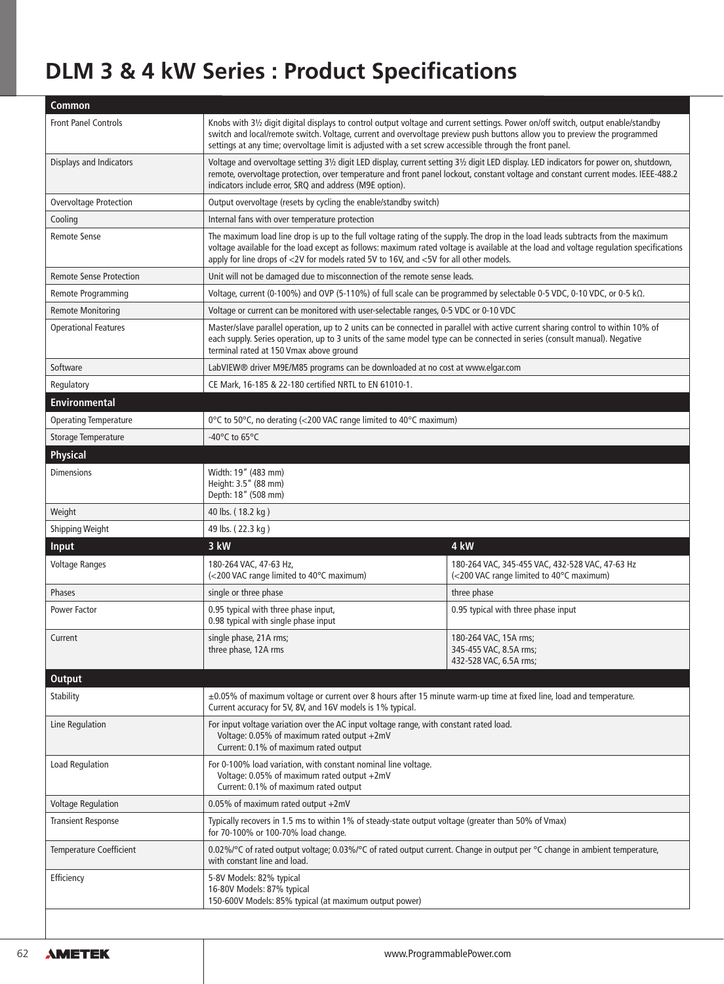# **DLM 3 & 4 kW Series : Product Specifications**

| <b>Common</b>                  |                                                                                                                                                                                                                                                                                                                                                                            |                                                                                             |  |  |  |  |
|--------------------------------|----------------------------------------------------------------------------------------------------------------------------------------------------------------------------------------------------------------------------------------------------------------------------------------------------------------------------------------------------------------------------|---------------------------------------------------------------------------------------------|--|--|--|--|
| <b>Front Panel Controls</b>    | Knobs with 31/2 digit digital displays to control output voltage and current settings. Power on/off switch, output enable/standby<br>switch and local/remote switch. Voltage, current and overvoltage preview push buttons allow you to preview the programmed<br>settings at any time; overvoltage limit is adjusted with a set screw accessible through the front panel. |                                                                                             |  |  |  |  |
| Displays and Indicators        | Voltage and overvoltage setting 31/2 digit LED display, current setting 31/2 digit LED display. LED indicators for power on, shutdown,<br>remote, overvoltage protection, over temperature and front panel lockout, constant voltage and constant current modes. IEEE-488.2<br>indicators include error, SRQ and address (M9E option).                                     |                                                                                             |  |  |  |  |
| Overvoltage Protection         | Output overvoltage (resets by cycling the enable/standby switch)                                                                                                                                                                                                                                                                                                           |                                                                                             |  |  |  |  |
| Cooling                        | Internal fans with over temperature protection                                                                                                                                                                                                                                                                                                                             |                                                                                             |  |  |  |  |
| <b>Remote Sense</b>            | The maximum load line drop is up to the full voltage rating of the supply. The drop in the load leads subtracts from the maximum<br>voltage available for the load except as follows: maximum rated voltage is available at the load and voltage regulation specifications<br>apply for line drops of <2V for models rated 5V to 16V, and <5V for all other models.        |                                                                                             |  |  |  |  |
| <b>Remote Sense Protection</b> | Unit will not be damaged due to misconnection of the remote sense leads.                                                                                                                                                                                                                                                                                                   |                                                                                             |  |  |  |  |
| Remote Programming             | Voltage, current (0-100%) and OVP (5-110%) of full scale can be programmed by selectable 0-5 VDC, 0-10 VDC, or 0-5 k $\Omega$ .                                                                                                                                                                                                                                            |                                                                                             |  |  |  |  |
| <b>Remote Monitoring</b>       | Voltage or current can be monitored with user-selectable ranges, 0-5 VDC or 0-10 VDC                                                                                                                                                                                                                                                                                       |                                                                                             |  |  |  |  |
| <b>Operational Features</b>    | Master/slave parallel operation, up to 2 units can be connected in parallel with active current sharing control to within 10% of<br>each supply. Series operation, up to 3 units of the same model type can be connected in series (consult manual). Negative<br>terminal rated at 150 Vmax above ground                                                                   |                                                                                             |  |  |  |  |
| Software                       | LabVIEW® driver M9E/M85 programs can be downloaded at no cost at www.elgar.com                                                                                                                                                                                                                                                                                             |                                                                                             |  |  |  |  |
| Regulatory                     | CE Mark, 16-185 & 22-180 certified NRTL to EN 61010-1.                                                                                                                                                                                                                                                                                                                     |                                                                                             |  |  |  |  |
| <b>Environmental</b>           |                                                                                                                                                                                                                                                                                                                                                                            |                                                                                             |  |  |  |  |
| <b>Operating Temperature</b>   | 0°C to 50°C, no derating (<200 VAC range limited to 40°C maximum)                                                                                                                                                                                                                                                                                                          |                                                                                             |  |  |  |  |
| Storage Temperature            | -40 $\degree$ C to 65 $\degree$ C                                                                                                                                                                                                                                                                                                                                          |                                                                                             |  |  |  |  |
| Physical                       |                                                                                                                                                                                                                                                                                                                                                                            |                                                                                             |  |  |  |  |
| <b>Dimensions</b>              | Width: 19" (483 mm)<br>Height: 3.5" (88 mm)<br>Depth: 18" (508 mm)                                                                                                                                                                                                                                                                                                         |                                                                                             |  |  |  |  |
| Weight                         | 40 lbs. (18.2 kg)                                                                                                                                                                                                                                                                                                                                                          |                                                                                             |  |  |  |  |
| <b>Shipping Weight</b>         | 49 lbs. (22.3 kg)                                                                                                                                                                                                                                                                                                                                                          |                                                                                             |  |  |  |  |
| <b>Input</b>                   | 3 kW<br>4 kW                                                                                                                                                                                                                                                                                                                                                               |                                                                                             |  |  |  |  |
| <b>Voltage Ranges</b>          | 180-264 VAC, 47-63 Hz,<br>(<200 VAC range limited to 40°C maximum)                                                                                                                                                                                                                                                                                                         | 180-264 VAC, 345-455 VAC, 432-528 VAC, 47-63 Hz<br>(<200 VAC range limited to 40°C maximum) |  |  |  |  |
| Phases                         | single or three phase                                                                                                                                                                                                                                                                                                                                                      | three phase                                                                                 |  |  |  |  |
| Power Factor                   | 0.95 typical with three phase input,<br>0.98 typical with single phase input                                                                                                                                                                                                                                                                                               | 0.95 typical with three phase input                                                         |  |  |  |  |
| Current                        | single phase, 21A rms;<br>180-264 VAC, 15A rms;<br>three phase, 12A rms<br>345-455 VAC, 8.5A rms;<br>432-528 VAC, 6.5A rms;                                                                                                                                                                                                                                                |                                                                                             |  |  |  |  |
| <b>Output</b>                  |                                                                                                                                                                                                                                                                                                                                                                            |                                                                                             |  |  |  |  |
| <b>Stability</b>               | ±0.05% of maximum voltage or current over 8 hours after 15 minute warm-up time at fixed line, load and temperature.<br>Current accuracy for 5V, 8V, and 16V models is 1% typical.                                                                                                                                                                                          |                                                                                             |  |  |  |  |
| Line Regulation                | For input voltage variation over the AC input voltage range, with constant rated load.<br>Voltage: 0.05% of maximum rated output +2mV<br>Current: 0.1% of maximum rated output                                                                                                                                                                                             |                                                                                             |  |  |  |  |
| <b>Load Regulation</b>         | For 0-100% load variation, with constant nominal line voltage.<br>Voltage: 0.05% of maximum rated output +2mV<br>Current: 0.1% of maximum rated output                                                                                                                                                                                                                     |                                                                                             |  |  |  |  |
| <b>Voltage Regulation</b>      | 0.05% of maximum rated output +2mV                                                                                                                                                                                                                                                                                                                                         |                                                                                             |  |  |  |  |
| <b>Transient Response</b>      | Typically recovers in 1.5 ms to within 1% of steady-state output voltage (greater than 50% of Vmax)<br>for 70-100% or 100-70% load change.                                                                                                                                                                                                                                 |                                                                                             |  |  |  |  |
| <b>Temperature Coefficient</b> | 0.02%/°C of rated output voltage; 0.03%/°C of rated output current. Change in output per °C change in ambient temperature,<br>with constant line and load.                                                                                                                                                                                                                 |                                                                                             |  |  |  |  |
| Efficiency                     | 5-8V Models: 82% typical<br>16-80V Models: 87% typical<br>150-600V Models: 85% typical (at maximum output power)                                                                                                                                                                                                                                                           |                                                                                             |  |  |  |  |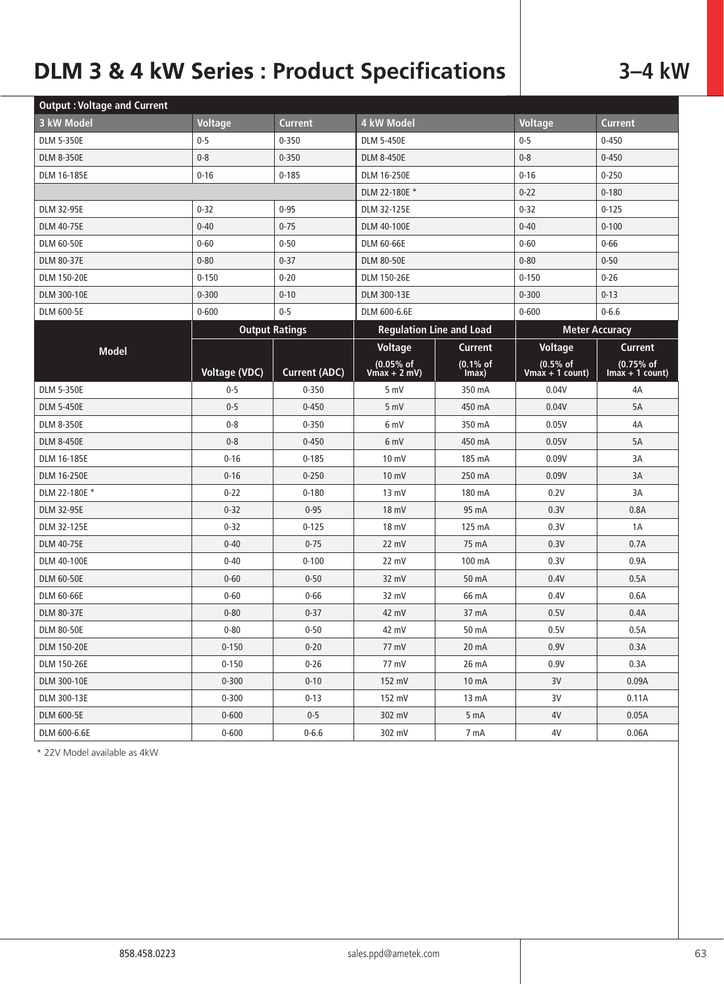# **DLM 3 & 4 kW Series : Product Specifications** | 3-4 kW

| <b>Output: Voltage and Current</b> |                       |                      |                                      |                   |                                        |                                 |  |
|------------------------------------|-----------------------|----------------------|--------------------------------------|-------------------|----------------------------------------|---------------------------------|--|
| 3 kW Model                         | <b>Voltage</b>        | <b>Current</b>       | 4 kW Model                           |                   | <b>Voltage</b>                         | <b>Current</b>                  |  |
| <b>DLM 5-350E</b>                  | $0 - 5$               | $0 - 350$            | <b>DLM 5-450E</b>                    |                   | $0 - 5$                                | $0 - 450$                       |  |
| <b>DLM 8-350E</b>                  | $0 - 8$               | $0 - 350$            | <b>DLM 8-450E</b>                    |                   | $0 - 8$                                | $0 - 450$                       |  |
| DLM 16-185E                        | $0 - 16$              | $0 - 185$            | DLM 16-250E                          |                   | $0 - 16$                               | $0 - 250$                       |  |
|                                    |                       |                      | DLM 22-180E *                        |                   | $0 - 22$                               | $0 - 180$                       |  |
| <b>DLM 32-95E</b>                  | $0 - 32$              | $0 - 95$             | DLM 32-125E                          |                   | $0 - 32$                               | $0 - 125$                       |  |
| <b>DLM 40-75E</b>                  | $0 - 40$              | $0 - 75$             | <b>DLM 40-100E</b>                   |                   | $0 - 40$                               | $0 - 100$                       |  |
| <b>DLM 60-50E</b>                  | $0 - 60$              | $0 - 50$             | <b>DLM 60-66E</b>                    |                   | $0 - 60$                               | $0 - 66$                        |  |
| <b>DLM 80-37E</b>                  | $0 - 80$              | $0 - 37$             | <b>DLM 80-50E</b>                    |                   | $0 - 80$                               | $0 - 50$                        |  |
| <b>DLM 150-20E</b>                 | $0 - 150$             | $0 - 20$             | <b>DLM 150-26E</b>                   |                   | $0 - 150$                              | $0 - 26$                        |  |
| DLM 300-10E                        | $0 - 300$             | $0 - 10$             | DLM 300-13E                          |                   | $0 - 300$                              | $0 - 13$                        |  |
| <b>DLM 600-5E</b>                  | $0 - 600$             | $0 - 5$              | DLM 600-6.6E                         |                   | $0 - 600$                              | $0 - 6.6$                       |  |
|                                    | <b>Output Ratings</b> |                      | <b>Regulation Line and Load</b>      |                   | <b>Meter Accuracy</b>                  |                                 |  |
| <b>Model</b>                       |                       |                      | Voltage                              | <b>Current</b>    | Voltage                                | <b>Current</b>                  |  |
|                                    | Voltage (VDC)         | <b>Current (ADC)</b> | $(0.05\% \text{ of}$<br>Vmax + 2 mV) | (0.1% of<br>Imax) | $(0.5\% \text{ of}$<br>Vmax + 1 count) | $(0.75%$ of<br>$Imax + 1 count$ |  |
| <b>DLM 5-350E</b>                  | $0 - 5$               | $0 - 350$            | 5 mV                                 | 350 mA            | 0.04V                                  | 4A                              |  |
| <b>DLM 5-450E</b>                  | $0 - 5$               | $0 - 450$            | 5 mV                                 | 450 mA            | 0.04V                                  | 5A                              |  |
| <b>DLM 8-350E</b>                  | $0 - 8$               | $0 - 350$            | 6 mV                                 | 350 mA            | 0.05V                                  | 4A                              |  |
| <b>DLM 8-450E</b>                  | $0 - 8$               | $0 - 450$            | 6 mV                                 | 450 mA            | 0.05V                                  | 5A                              |  |
| DLM 16-185E                        | $0 - 16$              | $0 - 185$            | $10 \text{ mV}$                      | 185 mA            | 0.09V                                  | 3A                              |  |
| <b>DLM 16-250E</b>                 | $0 - 16$              | $0 - 250$            | $10 \text{ mV}$                      | 250 mA            | 0.09V                                  | 3A                              |  |
| DLM 22-180E *                      | $0 - 22$              | $0 - 180$            | 13 mV                                | 180 mA            | 0.2V                                   | 3A                              |  |
| <b>DLM 32-95E</b>                  | $0 - 32$              | $0 - 95$             | 18 mV                                | 95 mA             | 0.3V                                   | 0.8A                            |  |
| DLM 32-125E                        | $0 - 32$              | $0 - 125$            | 18 mV                                | 125 mA            | 0.3V                                   | 1A                              |  |
| <b>DLM 40-75E</b>                  | $0 - 40$              | $0 - 75$             | 22 mV                                | 75 mA             | 0.3V                                   | 0.7A                            |  |
| DLM 40-100E                        | $0 - 40$              | $0 - 100$            | 22 mV                                | 100 mA            | 0.3V                                   | 0.9A                            |  |
| <b>DLM 60-50E</b>                  | $0 - 60$              | $0 - 50$             | 32 mV                                | 50 mA             | 0.4V                                   | 0.5A                            |  |
| DLM 60-66E                         | $0 - 60$              | $0 - 66$             | 32 mV                                | 66 mA             | 0.4V                                   | 0.6A                            |  |
| <b>DLM 80-37E</b>                  | $0 - 80$              | $0 - 37$             | 42 mV                                | 37 mA             | 0.5V                                   | 0.4A                            |  |
| <b>DLM 80-50E</b>                  | $0 - 80$              | $0 - 50$             | 42 mV                                | 50 mA             | 0.5V                                   | 0.5A                            |  |
| <b>DLM 150-20E</b>                 | $0 - 150$             | $0 - 20$             | 77 mV                                | 20 mA             | 0.9V                                   | 0.3A                            |  |
| DLM 150-26E                        | $0 - 150$             | $0 - 26$             | 77 mV                                | 26 mA             | 0.9V                                   | 0.3A                            |  |
| DLM 300-10E                        | $0 - 300$             | $0 - 10$             | 152 mV                               | 10 mA             | 3V                                     | 0.09A                           |  |
| DLM 300-13E                        | $0 - 300$             | $0 - 13$             | 152 mV                               | 13 <sub>m</sub> A | 3V                                     | 0.11A                           |  |
| <b>DLM 600-5E</b>                  | $0 - 600$             | $0 - 5$              | 302 mV                               | 5 mA              | 4V                                     | 0.05A                           |  |
| DLM 600-6.6E                       | $0 - 600$             | $0 - 6.6$            | 302 mV                               | 7 mA              | 4V                                     | 0.06A                           |  |

\* 22V Model available as 4kW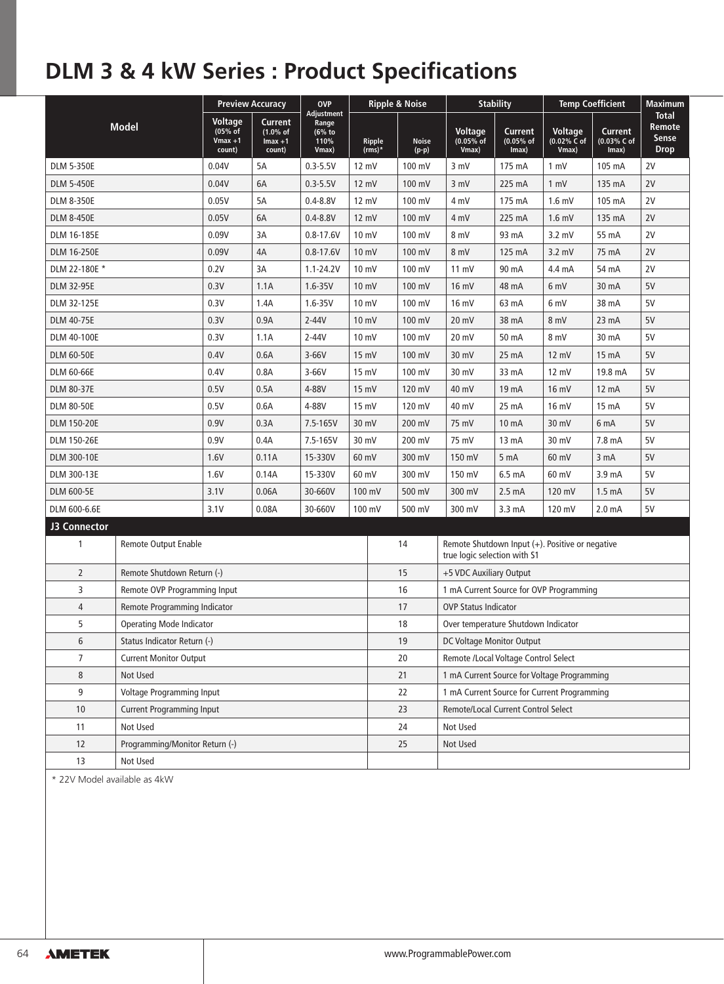## **DLM 3 & 4 kW Series : Product Specifications**

| <b>Model</b>                                   |                              | <b>Preview Accuracy</b>                   |                                            | <b>OVP</b>                                     |                                                                                 | <b>Ripple &amp; Noise</b> |                                         | <b>Stability</b>                       |                                        | <b>Temp Coefficient</b>         |                                                       |
|------------------------------------------------|------------------------------|-------------------------------------------|--------------------------------------------|------------------------------------------------|---------------------------------------------------------------------------------|---------------------------|-----------------------------------------|----------------------------------------|----------------------------------------|---------------------------------|-------------------------------------------------------|
|                                                |                              | Voltage<br>(05% of<br>$Vmax +1$<br>count) | Current<br>(1.0% of<br>$Imax +1$<br>count) | Adjustment<br>Range<br>(6% to<br>110%<br>Vmax) | Ripple<br>$(rms)*$                                                              | <b>Noise</b><br>$(p-p)$   | <b>Voltage</b><br>$(0.05%$ of<br>Vmax)  | <b>Current</b><br>$(0.05%$ of<br>Imax) | <b>Voltage</b><br>(0.02% C of<br>Vmax) | Current<br>(0.03% C of<br>Imax) | <b>Total</b><br>Remote<br><b>Sense</b><br><b>Drop</b> |
| <b>DLM 5-350E</b>                              |                              | 0.04V                                     | 5A                                         | $0.3 - 5.5V$                                   | $12 \text{ mV}$                                                                 | 100 mV                    | 3 mV                                    | 175 mA                                 | $1 \text{ mV}$                         | 105 mA                          | 2V                                                    |
| <b>DLM 5-450E</b>                              |                              | 0.04V                                     | 6A                                         | $0.3 - 5.5V$                                   | $12 \text{ mV}$                                                                 | 100 mV                    | 3 mV                                    | 225 mA                                 | 1 mV                                   | 135 mA                          | 2V                                                    |
| <b>DLM 8-350E</b>                              |                              | 0.05V                                     | 5A                                         | $0.4 - 8.8V$                                   | 12 mV                                                                           | 100 mV                    | 4 mV                                    | 175 mA                                 | $1.6$ mV                               | 105 mA                          | 2V                                                    |
| <b>DLM 8-450E</b>                              |                              | 0.05V                                     | 6A                                         | $0.4 - 8.8V$                                   | 12 mV                                                                           | 100 mV                    | 4 mV                                    | 225 mA                                 | $1.6$ mV                               | 135 mA                          | 2V                                                    |
| DLM 16-185E                                    |                              | 0.09V                                     | 3A                                         | $0.8 - 17.6V$                                  | 10 mV                                                                           | 100 mV                    | 8 mV                                    | 93 mA                                  | $3.2$ mV                               | 55 mA                           | 2V                                                    |
| <b>DLM 16-250E</b>                             |                              | 0.09V                                     | 4A                                         | $0.8 - 17.6V$                                  | 10 mV                                                                           | 100 mV                    | 8 mV                                    | 125 mA                                 | $3.2$ mV                               | 75 mA                           | 2V                                                    |
| DLM 22-180E *                                  |                              | 0.2V                                      | 3A                                         | $1.1 - 24.2V$                                  | 10 mV                                                                           | 100 mV                    | $11 \text{ mV}$                         | 90 mA                                  | 4.4 mA                                 | 54 mA                           | 2V                                                    |
| <b>DLM 32-95E</b>                              |                              | 0.3V                                      | 1.1A                                       | $1.6 - 35V$                                    | 10 mV                                                                           | 100 mV                    | 16 mV                                   | 48 mA                                  | 6 mV                                   | 30 mA                           | 5V                                                    |
| DLM 32-125E                                    |                              | 0.3V                                      | 1.4A                                       | $1.6 - 35V$                                    | 10 mV                                                                           | 100 mV                    | 16 mV                                   | 63 mA                                  | 6 mV                                   | 38 mA                           | 5V                                                    |
| <b>DLM 40-75E</b>                              |                              | 0.3V                                      | 0.9A                                       | $2-44V$                                        | 10 mV                                                                           | 100 mV                    | 20 mV                                   | 38 mA                                  | 8 mV                                   | 23 mA                           | 5V                                                    |
| DLM 40-100E                                    |                              | 0.3V                                      | 1.1A                                       | $2-44V$                                        | 10 mV                                                                           | 100 mV                    | 20 mV                                   | 50 mA                                  | 8 mV                                   | 30 mA                           | 5V                                                    |
| <b>DLM 60-50E</b>                              |                              | 0.4V                                      | 0.6A                                       | $3-66V$                                        | 15 mV                                                                           | 100 mV                    | 30 mV                                   | 25 mA                                  | 12 mV                                  | 15 mA                           | 5V                                                    |
| <b>DLM 60-66E</b>                              |                              | 0.4V                                      | 0.8A                                       | 3-66V                                          | 15 mV                                                                           | 100 mV                    | 30 mV                                   | 33 mA                                  | 12 mV                                  | 19.8 mA                         | 5V                                                    |
| <b>DLM 80-37E</b>                              |                              | 0.5V                                      | 0.5A                                       | 4-88V                                          | 15 mV                                                                           | 120 mV                    | 40 mV                                   | 19 mA                                  | 16 mV                                  | 12 mA                           | 5V                                                    |
| <b>DLM 80-50E</b>                              |                              | 0.5V                                      | 0.6A                                       | 4-88V                                          | 15 mV                                                                           | 120 mV                    | 40 mV                                   | 25 mA                                  | 16 mV                                  | 15 mA                           | 5V                                                    |
| <b>DLM 150-20E</b>                             |                              | 0.9V                                      | 0.3A                                       | 7.5-165V                                       | 30 mV                                                                           | 200 mV                    | 75 mV                                   | 10 <sub>m</sub> A                      | 30 mV                                  | 6 mA                            | 5V                                                    |
| <b>DLM 150-26E</b>                             |                              | 0.9V                                      | 0.4A                                       | 7.5-165V                                       | 30 mV                                                                           | 200 mV                    | 75 mV                                   | 13 mA                                  | 30 mV                                  | 7.8 mA                          | 5V                                                    |
| DLM 300-10E                                    |                              | 1.6V                                      | 0.11A                                      | 15-330V                                        | 60 mV                                                                           | 300 mV                    | 150 mV                                  | 5 mA                                   | 60 mV                                  | 3 <sub>m</sub> A                | 5V                                                    |
| DLM 300-13E                                    |                              | 1.6V                                      | 0.14A                                      | 15-330V                                        | 60 mV                                                                           | 300 mV                    | 150 mV                                  | 6.5 <sub>mA</sub>                      | 60 mV                                  | 3.9 mA                          | 5V                                                    |
| DLM 600-5E                                     |                              | 3.1V                                      | 0.06A                                      | 30-660V                                        | 100 mV                                                                          | 500 mV                    | 300 mV                                  | 2.5 <sub>mA</sub>                      | 120 mV                                 | 1.5 <sub>mA</sub>               | 5V                                                    |
| DLM 600-6.6E                                   |                              | 3.1V                                      | 0.08A                                      | 30-660V                                        | 100 mV                                                                          | 500 mV                    | 300 mV                                  | 3.3 <sub>m</sub> A                     | 120 mV                                 | 2.0 <sub>m</sub> A              | 5V                                                    |
| J3 Connector                                   |                              |                                           |                                            |                                                |                                                                                 |                           |                                         |                                        |                                        |                                 |                                                       |
| 1<br>Remote Output Enable                      |                              |                                           |                                            | 14                                             | Remote Shutdown Input (+). Positive or negative<br>true logic selection with S1 |                           |                                         |                                        |                                        |                                 |                                                       |
| $\overline{2}$<br>Remote Shutdown Return (-)   |                              |                                           |                                            |                                                |                                                                                 | 15                        | +5 VDC Auxiliary Output                 |                                        |                                        |                                 |                                                       |
| 3                                              | Remote OVP Programming Input |                                           |                                            |                                                |                                                                                 | 16                        | 1 mA Current Source for OVP Programming |                                        |                                        |                                 |                                                       |
| $\overline{4}$<br>Remote Programming Indicator |                              |                                           |                                            |                                                |                                                                                 | 17                        | <b>OVP Status Indicator</b>             |                                        |                                        |                                 |                                                       |
| 5<br><b>Operating Mode Indicator</b>           |                              |                                           |                                            |                                                |                                                                                 | 18                        | Over temperature Shutdown Indicator     |                                        |                                        |                                 |                                                       |
| 6<br>Status Indicator Return (-)               |                              |                                           |                                            |                                                |                                                                                 | 19                        | DC Voltage Monitor Output               |                                        |                                        |                                 |                                                       |
| 7<br><b>Current Monitor Output</b>             |                              |                                           |                                            | 20                                             | Remote /Local Voltage Control Select                                            |                           |                                         |                                        |                                        |                                 |                                                       |
| 8<br>Not Used                                  |                              |                                           |                                            | 21                                             | 1 mA Current Source for Voltage Programming                                     |                           |                                         |                                        |                                        |                                 |                                                       |
| 9<br>Voltage Programming Input                 |                              |                                           |                                            | 22                                             | 1 mA Current Source for Current Programming                                     |                           |                                         |                                        |                                        |                                 |                                                       |
| 10<br><b>Current Programming Input</b>         |                              |                                           |                                            | 23                                             | Remote/Local Current Control Select                                             |                           |                                         |                                        |                                        |                                 |                                                       |
| Not Used<br>11                                 |                              |                                           |                                            |                                                |                                                                                 | 24                        | Not Used                                |                                        |                                        |                                 |                                                       |
| Programming/Monitor Return (-)<br>12           |                              |                                           |                                            | 25                                             | Not Used                                                                        |                           |                                         |                                        |                                        |                                 |                                                       |
| 13<br>Not Used                                 |                              |                                           |                                            |                                                |                                                                                 |                           |                                         |                                        |                                        |                                 |                                                       |

\* 22V Model available as 4kW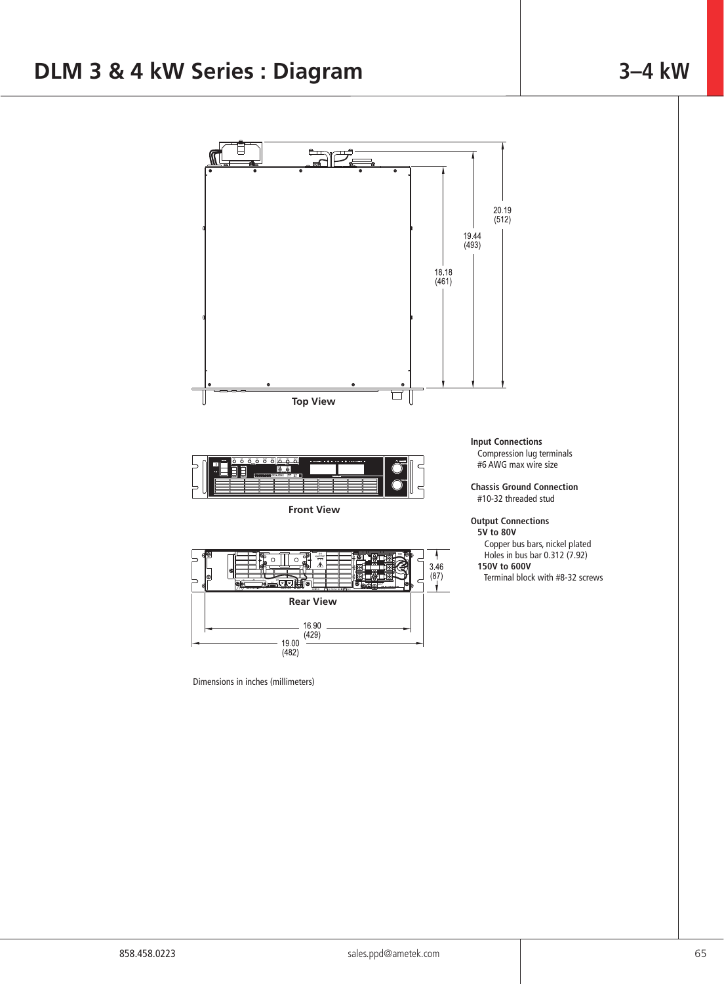#### F  $\mathbf{f}$ ∽ 20.19<br>(512) 19.44<br>(493) 18.18<br>(461) ㅁ **Top View Input Connections** Compression lug terminals #6 AWG max wire size **Chassis Ground Connection** #10-32 threaded stud **Front View Output Connections 5V to 80V** Copper bus bars, nickel plated Holes in bus bar 0.312 (7.92)  $\circ$  **150V to 600V**  $3.46$ <br>(87)  $\pm$  2015  $\pm$ **Rear View** 16.90  $(429)$ 19.00

Dimensions in inches (millimeters)

 $(482)$ 

- 
- 
- Terminal block with #8-32 screws